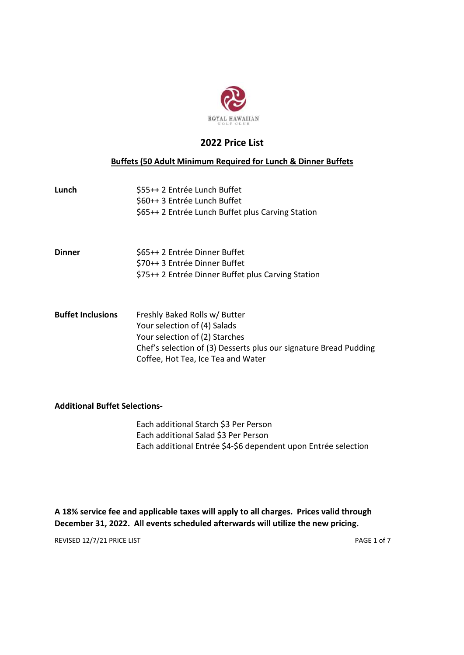

# 2022 Price List

# Buffets (50 Adult Minimum Required for Lunch & Dinner Buffets

| Lunch                    | \$55++ 2 Entrée Lunch Buffet<br>\$60++ 3 Entrée Lunch Buffet<br>\$65++ 2 Entrée Lunch Buffet plus Carving Station                                                    |
|--------------------------|----------------------------------------------------------------------------------------------------------------------------------------------------------------------|
| Dinner                   | \$65++ 2 Entrée Dinner Buffet<br>\$70++ 3 Entrée Dinner Buffet<br>\$75++ 2 Entrée Dinner Buffet plus Carving Station                                                 |
| <b>Buffet Inclusions</b> | Freshly Baked Rolls w/ Butter<br>Your selection of (4) Salads<br>Your selection of (2) Starches<br>Chef's selection of (3) Desserts plus our signature Bread Pudding |

Coffee, Hot Tea, Ice Tea and Water

# Additional Buffet Selections-

 Each additional Starch \$3 Per Person Each additional Salad \$3 Per Person Each additional Entrée \$4-\$6 dependent upon Entrée selection

A 18% service fee and applicable taxes will apply to all charges. Prices valid through December 31, 2022. All events scheduled afterwards will utilize the new pricing.

REVISED 12/7/21 PRICE LIST PAGE 1 of 7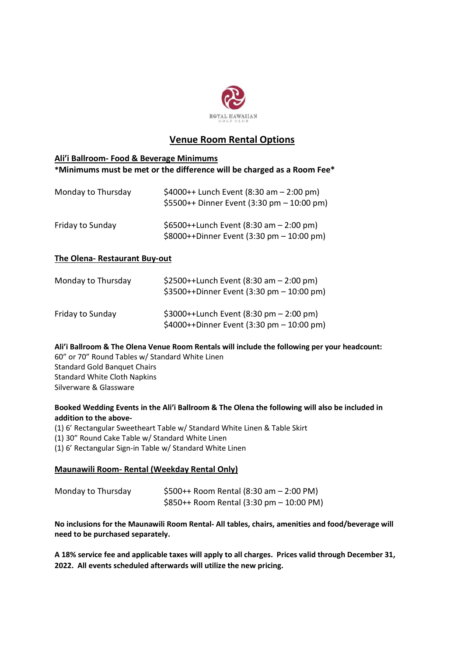

# Venue Room Rental Options

## Ali'i Ballroom- Food & Beverage Minimums \*Minimums must be met or the difference will be charged as a Room Fee\*

| Monday to Thursday | \$4000++ Lunch Event (8:30 am $-$ 2:00 pm)<br>\$5500++ Dinner Event (3:30 pm - 10:00 pm) |
|--------------------|------------------------------------------------------------------------------------------|
| Friday to Sunday   | \$6500++Lunch Event (8:30 am $-$ 2:00 pm)<br>\$8000++Dinner Event (3:30 pm - 10:00 pm)   |

# The Olena- Restaurant Buy-out

| Monday to Thursday | $$2500++Lunch$ Event (8:30 am $-2:00$ pm)<br>$$3500++$ Dinner Event (3:30 pm $-10:00$ pm)                |
|--------------------|----------------------------------------------------------------------------------------------------------|
| Friday to Sunday   | \$3000++Lunch Event $(8:30 \text{ pm} - 2:00 \text{ pm})$<br>\$4000++Dinner Event (3:30 pm $-$ 10:00 pm) |

Ali'i Ballroom & The Olena Venue Room Rentals will include the following per your headcount: 60" or 70" Round Tables w/ Standard White Linen Standard Gold Banquet Chairs Standard White Cloth Napkins Silverware & Glassware

## Booked Wedding Events in the Ali'i Ballroom & The Olena the following will also be included in addition to the above-

(1) 6' Rectangular Sweetheart Table w/ Standard White Linen & Table Skirt (1) 30" Round Cake Table w/ Standard White Linen (1) 6' Rectangular Sign-in Table w/ Standard White Linen

# Maunawili Room- Rental (Weekday Rental Only)

| Monday to Thursday | $$500++$ Room Rental (8:30 am $-$ 2:00 PM)  |
|--------------------|---------------------------------------------|
|                    | $$850++$ Room Rental (3:30 pm $-$ 10:00 PM) |

No inclusions for the Maunawili Room Rental- All tables, chairs, amenities and food/beverage will need to be purchased separately.

A 18% service fee and applicable taxes will apply to all charges. Prices valid through December 31, 2022. All events scheduled afterwards will utilize the new pricing.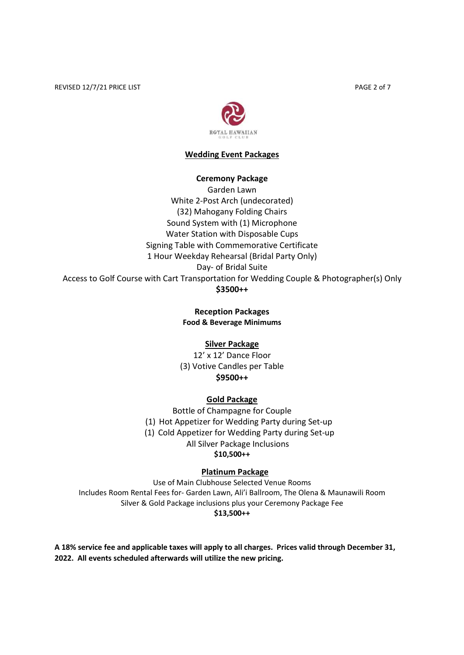REVISED 12/7/21 PRICE LIST **PAGE 2 of 7** 



## Wedding Event Packages

#### Ceremony Package

Garden Lawn White 2-Post Arch (undecorated) (32) Mahogany Folding Chairs Sound System with (1) Microphone Water Station with Disposable Cups Signing Table with Commemorative Certificate 1 Hour Weekday Rehearsal (Bridal Party Only) Day- of Bridal Suite Access to Golf Course with Cart Transportation for Wedding Couple & Photographer(s) Only \$3500++

### Reception Packages Food & Beverage Minimums

### Silver Package

12' x 12' Dance Floor (3) Votive Candles per Table \$9500++

### Gold Package

Bottle of Champagne for Couple (1) Hot Appetizer for Wedding Party during Set-up (1) Cold Appetizer for Wedding Party during Set-up All Silver Package Inclusions \$10,500++

## Platinum Package

Use of Main Clubhouse Selected Venue Rooms Includes Room Rental Fees for- Garden Lawn, Ali'i Ballroom, The Olena & Maunawili Room Silver & Gold Package inclusions plus your Ceremony Package Fee \$13,500++

A 18% service fee and applicable taxes will apply to all charges. Prices valid through December 31, 2022. All events scheduled afterwards will utilize the new pricing.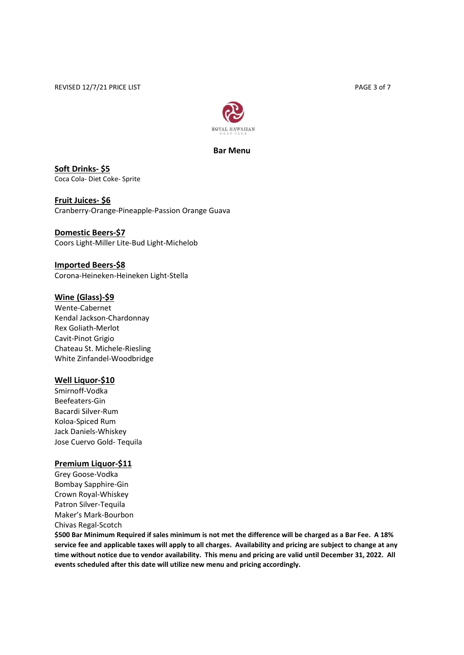REVISED 12/7/21 PRICE LIST **PAGE 3 of 7** 



Bar Menu

Soft Drinks- \$5 Coca Cola- Diet Coke- Sprite

Fruit Juices- \$6 Cranberry-Orange-Pineapple-Passion Orange Guava

Domestic Beers-\$7 Coors Light-Miller Lite-Bud Light-Michelob

Imported Beers-\$8 Corona-Heineken-Heineken Light-Stella

### Wine (Glass)-\$9

Wente-Cabernet Kendal Jackson-Chardonnay Rex Goliath-Merlot Cavit-Pinot Grigio Chateau St. Michele-Riesling White Zinfandel-Woodbridge

### Well Liquor-\$10

Smirnoff-Vodka Beefeaters-Gin Bacardi Silver-Rum Koloa-Spiced Rum Jack Daniels-Whiskey Jose Cuervo Gold- Tequila

### Premium Liquor-\$11

Grey Goose-Vodka Bombay Sapphire-Gin Crown Royal-Whiskey Patron Silver-Tequila Maker's Mark-Bourbon Chivas Regal-Scotch

\$500 Bar Minimum Required if sales minimum is not met the difference will be charged as a Bar Fee. A 18% service fee and applicable taxes will apply to all charges. Availability and pricing are subject to change at any time without notice due to vendor availability. This menu and pricing are valid until December 31, 2022. All events scheduled after this date will utilize new menu and pricing accordingly.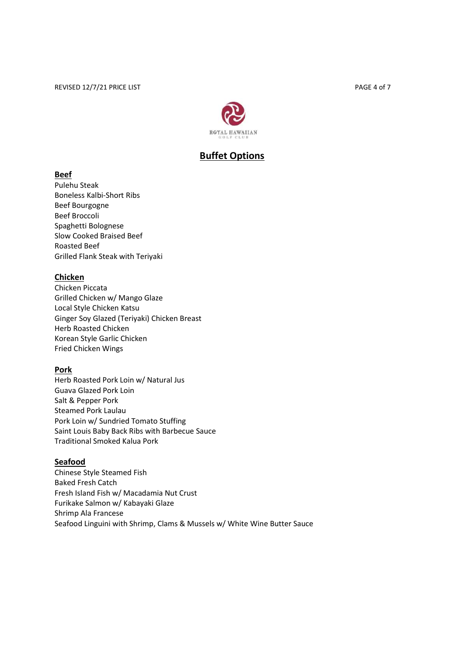

# Buffet Options

# Beef

Pulehu Steak Boneless Kalbi-Short Ribs Beef Bourgogne Beef Broccoli Spaghetti Bolognese Slow Cooked Braised Beef Roasted Beef Grilled Flank Steak with Teriyaki

# Chicken

Chicken Piccata Grilled Chicken w/ Mango Glaze Local Style Chicken Katsu Ginger Soy Glazed (Teriyaki) Chicken Breast Herb Roasted Chicken Korean Style Garlic Chicken Fried Chicken Wings

# Pork

Herb Roasted Pork Loin w/ Natural Jus Guava Glazed Pork Loin Salt & Pepper Pork Steamed Pork Laulau Pork Loin w/ Sundried Tomato Stuffing Saint Louis Baby Back Ribs with Barbecue Sauce Traditional Smoked Kalua Pork

# Seafood

Chinese Style Steamed Fish Baked Fresh Catch Fresh Island Fish w/ Macadamia Nut Crust Furikake Salmon w/ Kabayaki Glaze Shrimp Ala Francese Seafood Linguini with Shrimp, Clams & Mussels w/ White Wine Butter Sauce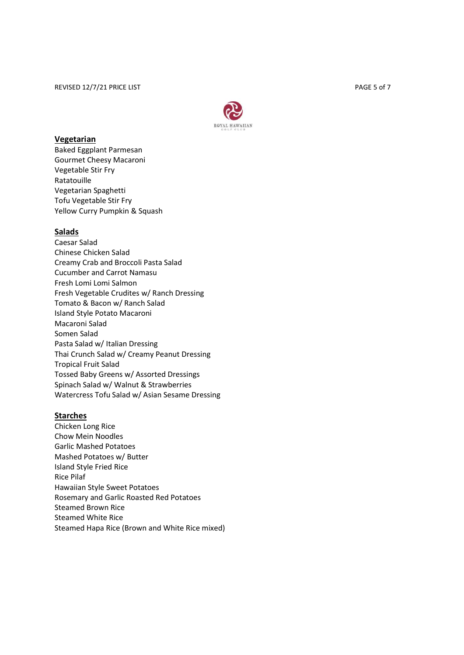

### **Vegetarian**

Baked Eggplant Parmesan Gourmet Cheesy Macaroni Vegetable Stir Fry Ratatouille Vegetarian Spaghetti Tofu Vegetable Stir Fry Yellow Curry Pumpkin & Squash

## **Salads**

Caesar Salad Chinese Chicken Salad Creamy Crab and Broccoli Pasta Salad Cucumber and Carrot Namasu Fresh Lomi Lomi Salmon Fresh Vegetable Crudites w/ Ranch Dressing Tomato & Bacon w/ Ranch Salad Island Style Potato Macaroni Macaroni Salad Somen Salad Pasta Salad w/ Italian Dressing Thai Crunch Salad w/ Creamy Peanut Dressing Tropical Fruit Salad Tossed Baby Greens w/ Assorted Dressings Spinach Salad w/ Walnut & Strawberries Watercress Tofu Salad w/ Asian Sesame Dressing

#### Starches

Chicken Long Rice Chow Mein Noodles Garlic Mashed Potatoes Mashed Potatoes w/ Butter Island Style Fried Rice Rice Pilaf Hawaiian Style Sweet Potatoes Rosemary and Garlic Roasted Red Potatoes Steamed Brown Rice Steamed White Rice Steamed Hapa Rice (Brown and White Rice mixed)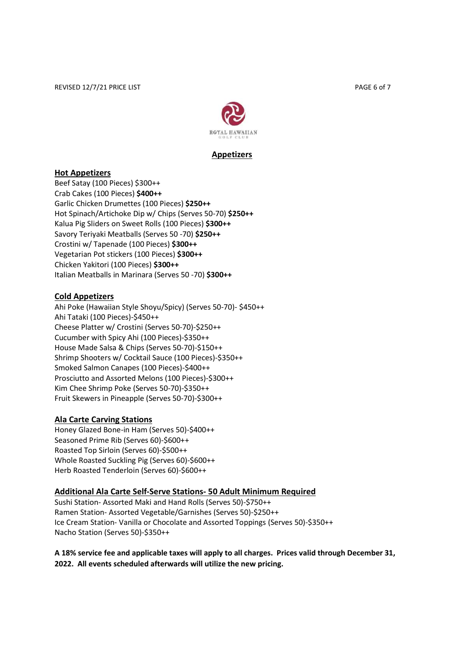

## Appetizers

### Hot Appetizers

Beef Satay (100 Pieces) \$300++ Crab Cakes (100 Pieces) \$400++ Garlic Chicken Drumettes (100 Pieces) \$250++ Hot Spinach/Artichoke Dip w/ Chips (Serves 50-70) \$250++ Kalua Pig Sliders on Sweet Rolls (100 Pieces) \$300++ Savory Teriyaki Meatballs (Serves 50 -70) \$250++ Crostini w/ Tapenade (100 Pieces) \$300++ Vegetarian Pot stickers (100 Pieces) \$300++ Chicken Yakitori (100 Pieces) \$300++ Italian Meatballs in Marinara (Serves 50 -70) \$300++

## Cold Appetizers

Ahi Poke (Hawaiian Style Shoyu/Spicy) (Serves 50-70)- \$450++ Ahi Tataki (100 Pieces)-\$450++ Cheese Platter w/ Crostini (Serves 50-70)-\$250++ Cucumber with Spicy Ahi (100 Pieces)-\$350++ House Made Salsa & Chips (Serves 50-70)-\$150++ Shrimp Shooters w/ Cocktail Sauce (100 Pieces)-\$350++ Smoked Salmon Canapes (100 Pieces)-\$400++ Prosciutto and Assorted Melons (100 Pieces)-\$300++ Kim Chee Shrimp Poke (Serves 50-70)-\$350++ Fruit Skewers in Pineapple (Serves 50-70)-\$300++

### Ala Carte Carving Stations

Honey Glazed Bone-in Ham (Serves 50)-\$400++ Seasoned Prime Rib (Serves 60)-\$600++ Roasted Top Sirloin (Serves 60)-\$500++ Whole Roasted Suckling Pig (Serves 60)-\$600++ Herb Roasted Tenderloin (Serves 60)-\$600++

### Additional Ala Carte Self-Serve Stations- 50 Adult Minimum Required

Sushi Station- Assorted Maki and Hand Rolls (Serves 50)-\$750++ Ramen Station- Assorted Vegetable/Garnishes (Serves 50)-\$250++ Ice Cream Station- Vanilla or Chocolate and Assorted Toppings (Serves 50)-\$350++ Nacho Station (Serves 50)-\$350++

A 18% service fee and applicable taxes will apply to all charges. Prices valid through December 31, 2022. All events scheduled afterwards will utilize the new pricing.